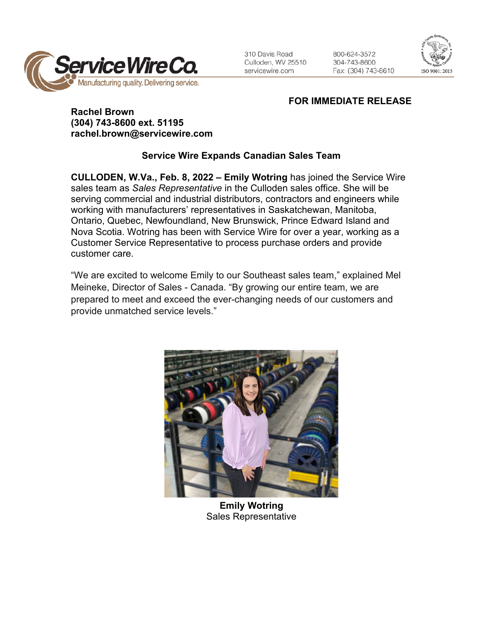

310 Davis Road Culloden, WV 25510 servicewire.com

800-624-3572 304-743-8600 Fax: (304) 743-8610



## **FOR IMMEDIATE RELEASE**

## **Rachel Brown (304) 743-8600 ext. 51195 rachel.brown@servicewire.com**

## **Service Wire Expands Canadian Sales Team**

**CULLODEN, W.Va., Feb. 8, 2022 – Emily Wotring** has joined the Service Wire sales team as *Sales Representative* in the Culloden sales office. She will be serving commercial and industrial distributors, contractors and engineers while working with manufacturers' representatives in Saskatchewan, Manitoba, Ontario, Quebec, Newfoundland, New Brunswick, Prince Edward Island and Nova Scotia. Wotring has been with Service Wire for over a year, working as a Customer Service Representative to process purchase orders and provide customer care.

"We are excited to welcome Emily to our Southeast sales team," explained Mel Meineke, Director of Sales - Canada. "By growing our entire team, we are prepared to meet and exceed the ever-changing needs of our customers and provide unmatched service levels."



**Emily Wotring** Sales Representative